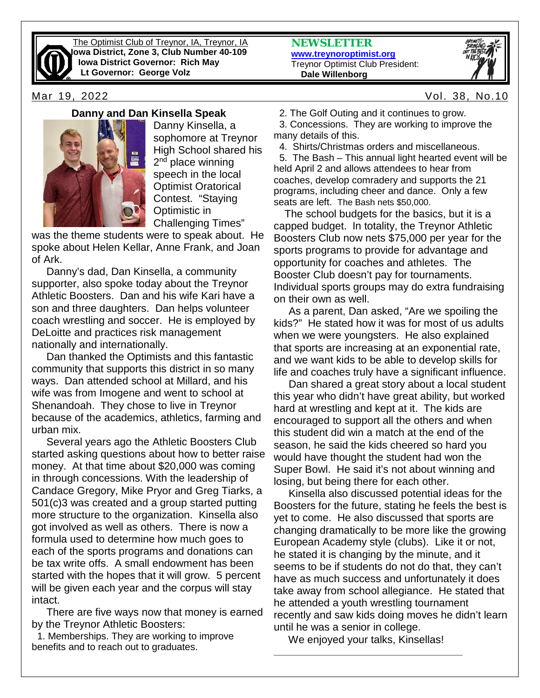

The Optimist Club of Treynor, IA, Treynor, IA **Iowa District, Zone 3, Club Number 40-109 Iowa District Governor: Rich May Lt Governor: George Volz**

## **Danny and Dan Kinsella Speak**



Danny Kinsella, a sophomore at Treynor High School shared his 2<sup>nd</sup> place winning speech in the local Optimist Oratorical Contest. "Staying Optimistic in Challenging Times"

was the theme students were to speak about. He spoke about Helen Kellar, Anne Frank, and Joan of Ark.

 Danny's dad, Dan Kinsella, a community supporter, also spoke today about the Treynor Athletic Boosters. Dan and his wife Kari have a son and three daughters. Dan helps volunteer coach wrestling and soccer. He is employed by DeLoitte and practices risk management nationally and internationally.

 Dan thanked the Optimists and this fantastic community that supports this district in so many ways. Dan attended school at Millard, and his wife was from Imogene and went to school at Shenandoah. They chose to live in Treynor because of the academics, athletics, farming and urban mix.

 Several years ago the Athletic Boosters Club started asking questions about how to better raise money. At that time about \$20,000 was coming in through concessions. With the leadership of Candace Gregory, Mike Pryor and Greg Tiarks, a 501(c)3 was created and a group started putting more structure to the organization. Kinsella also got involved as well as others. There is now a formula used to determine how much goes to each of the sports programs and donations can be tax write offs. A small endowment has been started with the hopes that it will grow. 5 percent will be given each year and the corpus will stay intact.

 There are five ways now that money is earned by the Treynor Athletic Boosters:

 1. Memberships. They are working to improve benefits and to reach out to graduates.

**NEWSLETTER [www.treynoroptimist.org](http://www.treynoroptimist.org/)** Treynor Optimist Club President:  **Dale Willenborg**



Mar 19, 2022 Vol. 38, No.10

2. The Golf Outing and it continues to grow.

 3. Concessions. They are working to improve the many details of this.

4. Shirts/Christmas orders and miscellaneous.

 5. The Bash – This annual light hearted event will be held April 2 and allows attendees to hear from coaches, develop comradery and supports the 21 programs, including cheer and dance. Only a few seats are left. The Bash nets \$50,000.

 The school budgets for the basics, but it is a capped budget. In totality, the Treynor Athletic Boosters Club now nets \$75,000 per year for the sports programs to provide for advantage and opportunity for coaches and athletes. The Booster Club doesn't pay for tournaments. Individual sports groups may do extra fundraising on their own as well.

 As a parent, Dan asked, "Are we spoiling the kids?" He stated how it was for most of us adults when we were youngsters. He also explained that sports are increasing at an exponential rate, and we want kids to be able to develop skills for life and coaches truly have a significant influence.

 Dan shared a great story about a local student this year who didn't have great ability, but worked hard at wrestling and kept at it. The kids are encouraged to support all the others and when this student did win a match at the end of the season, he said the kids cheered so hard you would have thought the student had won the Super Bowl. He said it's not about winning and losing, but being there for each other.

 Kinsella also discussed potential ideas for the Boosters for the future, stating he feels the best is yet to come. He also discussed that sports are changing dramatically to be more like the growing European Academy style (clubs). Like it or not, he stated it is changing by the minute, and it seems to be if students do not do that, they can't have as much success and unfortunately it does take away from school allegiance. He stated that he attended a youth wrestling tournament recently and saw kids doing moves he didn't learn until he was a senior in college.

 We enjoyed your talks, Kinsellas! **\_\_\_\_\_\_\_\_\_\_\_\_\_\_\_\_\_\_\_\_\_\_\_\_\_\_\_\_\_\_\_\_\_\_\_**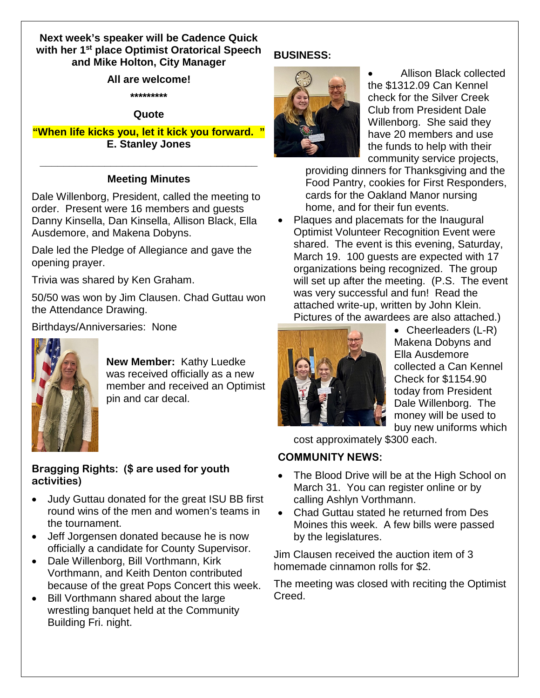# **Next week's speaker will be Cadence Quick with her 1st place Optimist Oratorical Speech and Mike Holton, City Manager**

### **All are welcome!**

**\*\*\*\*\*\*\*\*\***

## **Quote**

**"When life kicks you, let it kick you forward. " E. Stanley Jones**

# **\_\_\_\_\_\_\_\_\_\_\_\_\_\_\_\_\_\_\_\_\_\_\_\_\_\_\_\_\_\_\_\_\_\_\_\_\_ Meeting Minutes**

Dale Willenborg, President, called the meeting to order. Present were 16 members and guests Danny Kinsella, Dan Kinsella, Allison Black, Ella Ausdemore, and Makena Dobyns.

Dale led the Pledge of Allegiance and gave the opening prayer.

Trivia was shared by Ken Graham.

50/50 was won by Jim Clausen. Chad Guttau won the Attendance Drawing.

Birthdays/Anniversaries: None



**New Member:** Kathy Luedke was received officially as a new member and received an Optimist pin and car decal.

# **Bragging Rights: (\$ are used for youth activities)**

- Judy Guttau donated for the great ISU BB first round wins of the men and women's teams in the tournament.
- Jeff Jorgensen donated because he is now officially a candidate for County Supervisor.
- Dale Willenborg, Bill Vorthmann, Kirk Vorthmann, and Keith Denton contributed because of the great Pops Concert this week.
- Bill Vorthmann shared about the large wrestling banquet held at the Community Building Fri. night.

# **BUSINESS:**



• Allison Black collected the \$1312.09 Can Kennel check for the Silver Creek Club from President Dale Willenborg. She said they have 20 members and use the funds to help with their community service projects,

providing dinners for Thanksgiving and the Food Pantry, cookies for First Responders, cards for the Oakland Manor nursing home, and for their fun events.

• Plaques and placemats for the Inaugural Optimist Volunteer Recognition Event were shared. The event is this evening, Saturday, March 19. 100 guests are expected with 17 organizations being recognized. The group will set up after the meeting. (P.S. The event was very successful and fun! Read the attached write-up, written by John Klein. Pictures of the awardees are also attached.)



• Cheerleaders (L-R) Makena Dobyns and Ella Ausdemore collected a Can Kennel Check for \$1154.90 today from President Dale Willenborg. The money will be used to buy new uniforms which

cost approximately \$300 each.

# **COMMUNITY NEWS:**

- The Blood Drive will be at the High School on March 31. You can register online or by calling Ashlyn Vorthmann.
- Chad Guttau stated he returned from Des Moines this week. A few bills were passed by the legislatures.

Jim Clausen received the auction item of 3 homemade cinnamon rolls for \$2.

The meeting was closed with reciting the Optimist Creed.